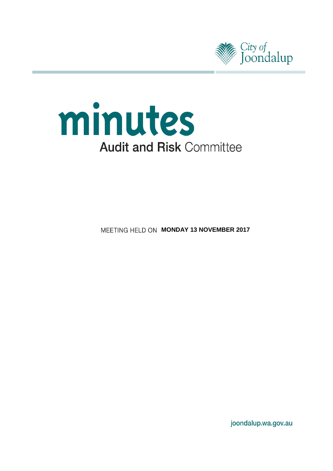



**MEETING HELD ON MONDAY 13 NOVEMBER 2017** 

joondalup.wa.gov.au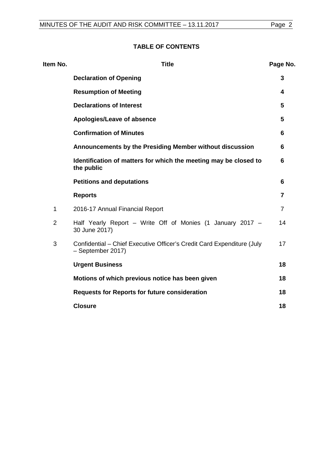## **TABLE OF CONTENTS**

| Item No.       | <b>Title</b>                                                                                | Page No.       |
|----------------|---------------------------------------------------------------------------------------------|----------------|
|                | <b>Declaration of Opening</b>                                                               | 3              |
|                | <b>Resumption of Meeting</b>                                                                | 4              |
|                | <b>Declarations of Interest</b>                                                             | 5              |
|                | Apologies/Leave of absence                                                                  | 5              |
|                | <b>Confirmation of Minutes</b>                                                              | 6              |
|                | Announcements by the Presiding Member without discussion                                    | 6              |
|                | Identification of matters for which the meeting may be closed to<br>the public              | 6              |
|                | <b>Petitions and deputations</b>                                                            | 6              |
|                | <b>Reports</b>                                                                              | 7              |
| $\mathbf 1$    | 2016-17 Annual Financial Report                                                             | $\overline{7}$ |
| $\overline{2}$ | Half Yearly Report – Write Off of Monies (1 January 2017 –<br>30 June 2017)                 | 14             |
| 3              | Confidential – Chief Executive Officer's Credit Card Expenditure (July<br>- September 2017) | 17             |
|                | <b>Urgent Business</b>                                                                      | 18             |
|                | Motions of which previous notice has been given                                             | 18             |
|                | <b>Requests for Reports for future consideration</b>                                        | 18             |
|                | <b>Closure</b>                                                                              | 18             |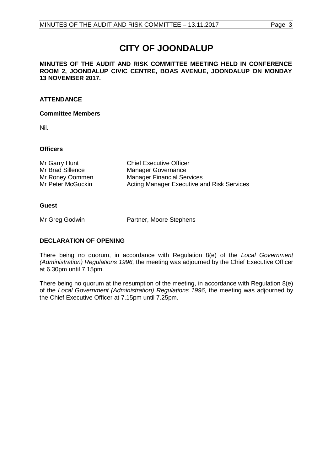# **CITY OF JOONDALUP**

**MINUTES OF THE AUDIT AND RISK COMMITTEE MEETING HELD IN CONFERENCE ROOM 2, JOONDALUP CIVIC CENTRE, BOAS AVENUE, JOONDALUP ON MONDAY 13 NOVEMBER 2017.** 

## **ATTENDANCE**

## **Committee Members**

Nil.

## **Officers**

Mr Garry Hunt Chief Executive Officer<br>
Mr Brad Sillence Manager Governance Mr Brad Sillence Manager Governance<br>
Mr Roney Oommen Manager Financial Ser Mr Roney Oommen Manager Financial Services<br>
Mr Peter McGuckin
Manager Executive a Acting Manager Executive and Risk Services

## **Guest**

Mr Greg Godwin Partner, Moore Stephens

## <span id="page-2-0"></span>**DECLARATION OF OPENING**

There being no quorum, in accordance with Regulation 8(e) of the *Local Government (Administration) Regulations 1996,* the meeting was adjourned by the Chief Executive Officer at 6.30pm until 7.15pm.

There being no quorum at the resumption of the meeting, in accordance with Regulation 8(e) of the *Local Government (Administration) Regulations 1996,* the meeting was adjourned by the Chief Executive Officer at 7.15pm until 7.25pm.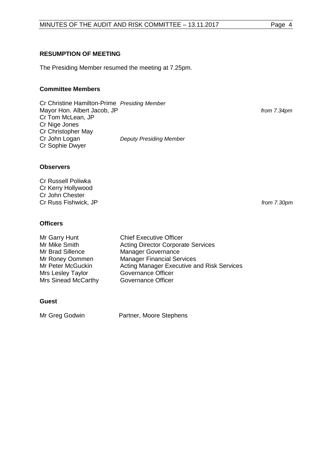#### <span id="page-3-0"></span>**RESUMPTION OF MEETING**

The Presiding Member resumed the meeting at 7.25pm.

### **Committee Members**

Cr Christine Hamilton-Prime *Presiding Member* Mayor Hon. Albert Jacob, JP *from 7.34pm* Cr Tom McLean, JP Cr Nige Jones Cr Christopher May<br>Cr John Logan **Deputy Presiding Member** Cr Sophie Dwyer

**Observers**

Cr Russell Poliwka Cr Kerry Hollywood Cr John Chester Cr Russ Fishwick, JP *from 7.30pm*

**Officers**

| Mr Garry Hunt       | <b>Chief Executive Officer</b>             |
|---------------------|--------------------------------------------|
| Mr Mike Smith       | <b>Acting Director Corporate Services</b>  |
| Mr Brad Sillence    | <b>Manager Governance</b>                  |
| Mr Roney Oommen     | <b>Manager Financial Services</b>          |
| Mr Peter McGuckin   | Acting Manager Executive and Risk Services |
| Mrs Lesley Taylor   | <b>Governance Officer</b>                  |
| Mrs Sinead McCarthy | Governance Officer                         |
|                     |                                            |

#### **Guest**

<span id="page-3-1"></span>

Mr Greg Godwin Partner, Moore Stephens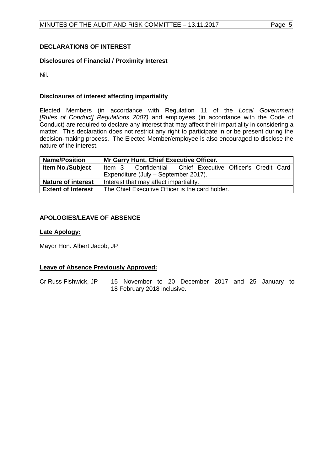## **DECLARATIONS OF INTEREST**

### **Disclosures of Financial / Proximity Interest**

Nil.

### **Disclosures of interest affecting impartiality**

Elected Members (in accordance with Regulation 11 of the *Local Government [Rules of Conduct] Regulations 2007)* and employees (in accordance with the Code of Conduct) are required to declare any interest that may affect their impartiality in considering a matter. This declaration does not restrict any right to participate in or be present during the decision-making process. The Elected Member/employee is also encouraged to disclose the nature of the interest.

| <b>Name/Position</b>      | Mr Garry Hunt, Chief Executive Officer.                       |  |  |
|---------------------------|---------------------------------------------------------------|--|--|
| <b>Item No./Subject</b>   | Item 3 - Confidential - Chief Executive Officer's Credit Card |  |  |
|                           | Expenditure (July - September 2017).                          |  |  |
| <b>Nature of interest</b> | Interest that may affect impartiality.                        |  |  |
| <b>Extent of Interest</b> | The Chief Executive Officer is the card holder.               |  |  |

#### <span id="page-4-0"></span>**APOLOGIES/LEAVE OF ABSENCE**

#### **Late Apology:**

Mayor Hon. Albert Jacob, JP

#### **Leave of Absence Previously Approved:**

<span id="page-4-1"></span>Cr Russ Fishwick, JP 15 November to 20 December 2017 and 25 January to 18 February 2018 inclusive.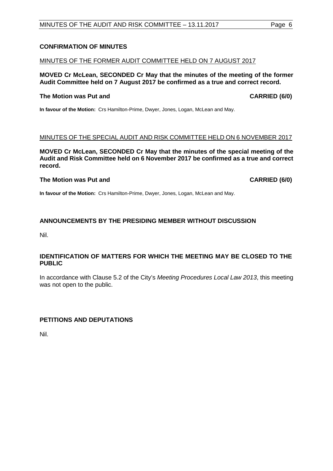## MINUTES OF THE AUDIT AND RISK COMMITTEE - 13.11.2017 Page 6

## **CONFIRMATION OF MINUTES**

## MINUTES OF THE FORMER AUDIT COMMITTEE HELD ON 7 AUGUST 2017

**MOVED Cr McLean, SECONDED Cr May that the minutes of the meeting of the former Audit Committee held on 7 August 2017 be confirmed as a true and correct record.**

## **The Motion was Put and CARRIED (6/0)**

**In favour of the Motion:** Crs Hamilton-Prime, Dwyer, Jones, Logan, McLean and May.

## MINUTES OF THE SPECIAL AUDIT AND RISK COMMITTEE HELD ON 6 NOVEMBER 2017

**MOVED Cr McLean, SECONDED Cr May that the minutes of the special meeting of the Audit and Risk Committee held on 6 November 2017 be confirmed as a true and correct record.**

## **The Motion was Put and CARRIED (6/0)**

**In favour of the Motion:** Crs Hamilton-Prime, Dwyer, Jones, Logan, McLean and May.

## <span id="page-5-0"></span>**ANNOUNCEMENTS BY THE PRESIDING MEMBER WITHOUT DISCUSSION**

Nil.

## <span id="page-5-1"></span>**IDENTIFICATION OF MATTERS FOR WHICH THE MEETING MAY BE CLOSED TO THE PUBLIC**

In accordance with Clause 5.2 of the City's *Meeting Procedures Local Law 2013*, this meeting was not open to the public.

#### <span id="page-5-2"></span>**PETITIONS AND DEPUTATIONS**

Nil.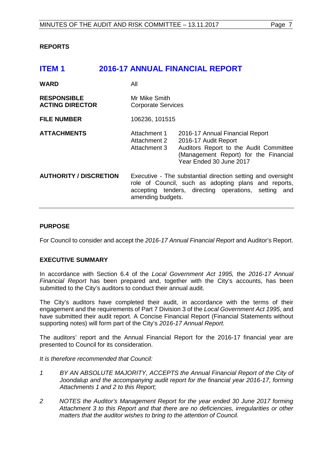### <span id="page-6-0"></span>**REPORTS**

## <span id="page-6-1"></span>**ITEM 1 2016-17 ANNUAL FINANCIAL REPORT**

| <b>WARD</b>                                  | All                                                                                                                                                                                              |                                                                                                                                                                       |
|----------------------------------------------|--------------------------------------------------------------------------------------------------------------------------------------------------------------------------------------------------|-----------------------------------------------------------------------------------------------------------------------------------------------------------------------|
| <b>RESPONSIBLE</b><br><b>ACTING DIRECTOR</b> | Mr Mike Smith<br><b>Corporate Services</b>                                                                                                                                                       |                                                                                                                                                                       |
| <b>FILE NUMBER</b>                           | 106236, 101515                                                                                                                                                                                   |                                                                                                                                                                       |
| <b>ATTACHMENTS</b>                           | Attachment 1<br>Attachment 2<br>Attachment 3                                                                                                                                                     | 2016-17 Annual Financial Report<br>2016-17 Audit Report<br>Auditors Report to the Audit Committee<br>(Management Report) for the Financial<br>Year Ended 30 June 2017 |
| <b>AUTHORITY / DISCRETION</b>                | Executive - The substantial direction setting and oversight<br>role of Council, such as adopting plans and reports,<br>accepting tenders, directing operations, setting and<br>amending budgets. |                                                                                                                                                                       |

#### **PURPOSE**

For Council to consider and accept the *2016-17 Annual Financial Report* and Auditor's Report.

#### **EXECUTIVE SUMMARY**

In accordance with Section 6.4 of the *Local Government Act 1995,* the *2016-17 Annual Financial Report* has been prepared and, together with the City's accounts, has been submitted to the City's auditors to conduct their annual audit.

The City's auditors have completed their audit, in accordance with the terms of their engagement and the requirements of Part 7 Division 3 of the *Local Government Act 1995*, and have submitted their audit report. A Concise Financial Report (Financial Statements without supporting notes) will form part of the City's *2016-17 Annual Report.*

The auditors' report and the Annual Financial Report for the 2016-17 financial year are presented to Council for its consideration.

*It is therefore recommended that Council:* 

- *1 BY AN ABSOLUTE MAJORITY, ACCEPTS the Annual Financial Report of the City of Joondalup and the accompanying audit report for the financial year 2016-17, forming Attachments 1 and 2 to this Report;*
- *2 NOTES the Auditor's Management Report for the year ended 30 June 2017 forming Attachment 3 to this Report and that there are no deficiencies, irregularities or other matters that the auditor wishes to bring to the attention of Council.*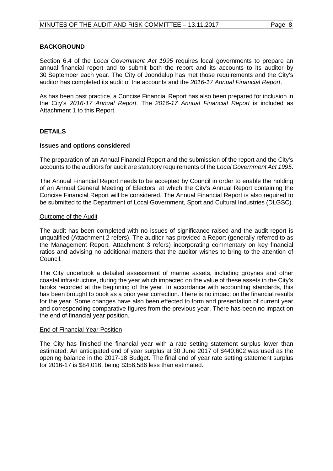#### **BACKGROUND**

Section 6.4 of the *Local Government Act 1995* requires local governments to prepare an annual financial report and to submit both the report and its accounts to its auditor by 30 September each year. The City of Joondalup has met those requirements and the City's auditor has completed its audit of the accounts and the *2016-17 Annual Financial Report*.

As has been past practice, a Concise Financial Report has also been prepared for inclusion in the City's *2016-17 Annual Report.* The *2016-17 Annual Financial Report* is included as Attachment 1 to this Report.

#### **DETAILS**

#### **Issues and options considered**

The preparation of an Annual Financial Report and the submission of the report and the City's accounts to the auditors for audit are statutory requirements of the *Local Government Act 1995*.

The Annual Financial Report needs to be accepted by Council in order to enable the holding of an Annual General Meeting of Electors, at which the City's Annual Report containing the Concise Financial Report will be considered. The Annual Financial Report is also required to be submitted to the Department of Local Government, Sport and Cultural Industries (DLGSC).

#### Outcome of the Audit

The audit has been completed with no issues of significance raised and the audit report is unqualified (Attachment 2 refers). The auditor has provided a Report (generally referred to as the Management Report, Attachment 3 refers) incorporating commentary on key financial ratios and advising no additional matters that the auditor wishes to bring to the attention of Council.

The City undertook a detailed assessment of marine assets, including groynes and other coastal infrastructure, during the year which impacted on the value of these assets in the City's books recorded at the beginning of the year. In accordance with accounting standards, this has been brought to book as a prior year correction. There is no impact on the financial results for the year. Some changes have also been effected to form and presentation of current year and corresponding comparative figures from the previous year. There has been no impact on the end of financial year position.

#### End of Financial Year Position

The City has finished the financial year with a rate setting statement surplus lower than estimated. An anticipated end of year surplus at 30 June 2017 of \$440,602 was used as the opening balance in the 2017-18 Budget. The final end of year rate setting statement surplus for 2016-17 is \$84,016, being \$356,586 less than estimated.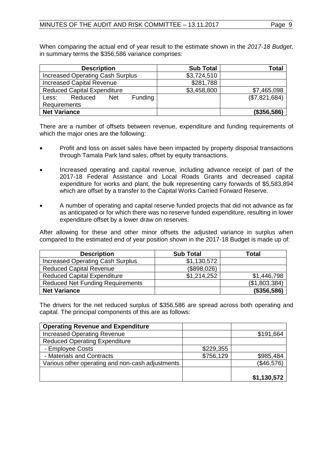When comparing the actual end of year result to the estimate shown in the *2017-18 Budget*, in summary terms the \$356,586 variance comprises:

| <b>Description</b>                        | <b>Sub Total</b> | Total          |
|-------------------------------------------|------------------|----------------|
| <b>Increased Operating Cash Surplus</b>   | \$3,724,510      |                |
| <b>Increased Capital Revenue</b>          | \$281,788        |                |
| <b>Reduced Capital Expenditure</b>        | \$3,458,800      | \$7,465,098    |
| Funding<br>Reduced<br><b>Net</b><br>Less: |                  | (\$7,821,684)  |
| Requirements                              |                  |                |
| <b>Net Variance</b>                       |                  | $($ \$356,586) |

There are a number of offsets between revenue, expenditure and funding requirements of which the major ones are the following:

- Profit and loss on asset sales have been impacted by property disposal transactions through Tamala Park land sales, offset by equity transactions.
- Increased operating and capital revenue, including advance receipt of part of the 2017-18 Federal Assistance and Local Roads Grants and decreased capital expenditure for works and plant, the bulk representing carry forwards of \$5,583,894 which are offset by a transfer to the Capital Works Carried Forward Reserve.
- A number of operating and capital reserve funded projects that did not advance as far as anticipated or for which there was no reserve funded expenditure, resulting in lower expenditure offset by a lower draw on reserves.

After allowing for these and other minor offsets the adjusted variance in surplus when compared to the estimated end of year position shown in the 2017-18 Budget is made up of:

| <b>Description</b>                      | <b>Sub Total</b> | Total         |
|-----------------------------------------|------------------|---------------|
| <b>Increased Operating Cash Surplus</b> | \$1,130,572      |               |
| <b>Reduced Capital Revenue</b>          | (\$898,026)      |               |
| <b>Reduced Capital Expenditure</b>      | \$1,214,252      | \$1,446,798   |
| <b>Reduced Net Funding Requirements</b> |                  | (\$1,803,384) |
| <b>Net Variance</b>                     |                  | (\$356,586)   |

The drivers for the net reduced surplus of \$356,586 are spread across both operating and capital. The principal components of this are as follows:

| <b>Operating Revenue and Expenditure</b>         |           |             |
|--------------------------------------------------|-----------|-------------|
| <b>Increased Operating Revenue</b>               |           | \$191,664   |
| <b>Reduced Operating Expenditure</b>             |           |             |
| - Employee Costs                                 | \$229,355 |             |
| - Materials and Contracts                        | \$756,129 | \$985,484   |
| Various other operating and non-cash adjustments |           | (\$46,576)  |
|                                                  |           |             |
|                                                  |           | \$1,130,572 |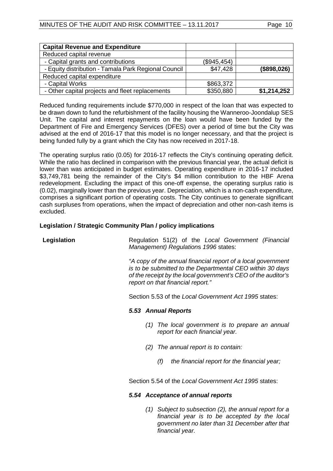| <b>Capital Revenue and Expenditure</b>               |             |             |
|------------------------------------------------------|-------------|-------------|
| Reduced capital revenue                              |             |             |
| - Capital grants and contributions                   | (\$945,454) |             |
| - Equity distribution - Tamala Park Regional Council | \$47,428    | (\$898,026) |
| Reduced capital expenditure                          |             |             |
| - Capital Works                                      | \$863,372   |             |
| - Other capital projects and fleet replacements      | \$350,880   | \$1,214,252 |

Reduced funding requirements include \$770,000 in respect of the loan that was expected to be drawn down to fund the refurbishment of the facility housing the Wanneroo-Joondalup SES Unit. The capital and interest repayments on the loan would have been funded by the Department of Fire and Emergency Services (DFES) over a period of time but the City was advised at the end of 2016-17 that this model is no longer necessary, and that the project is being funded fully by a grant which the City has now received in 2017-18.

The operating surplus ratio (0.05) for 2016-17 reflects the City's continuing operating deficit. While the ratio has declined in comparison with the previous financial year, the actual deficit is lower than was anticipated in budget estimates. Operating expenditure in 2016-17 included \$3,749,781 being the remainder of the City's \$4 million contribution to the HBF Arena redevelopment. Excluding the impact of this one-off expense, the operating surplus ratio is (0.02), marginally lower than the previous year. Depreciation, which is a non-cash expenditure, comprises a significant portion of operating costs. The City continues to generate significant cash surpluses from operations, when the impact of depreciation and other non-cash items is excluded.

#### **Legislation / Strategic Community Plan / policy implications**

| Regulation 51(2) of the Local Government (Financial<br>Legislation<br>Management) Regulations 1996 states: |                                                       |  |                                   |                                                                                                                                                                                            |  |
|------------------------------------------------------------------------------------------------------------|-------------------------------------------------------|--|-----------------------------------|--------------------------------------------------------------------------------------------------------------------------------------------------------------------------------------------|--|
|                                                                                                            |                                                       |  | report on that financial report." | "A copy of the annual financial report of a local government<br>is to be submitted to the Departmental CEO within 30 days<br>of the receipt by the local government's CEO of the auditor's |  |
|                                                                                                            | Section 5.53 of the Local Government Act 1995 states: |  |                                   |                                                                                                                                                                                            |  |
| 5.53 Annual Reports                                                                                        |                                                       |  |                                   |                                                                                                                                                                                            |  |
|                                                                                                            | (1)                                                   |  | report for each financial year.   | The local government is to prepare an annual                                                                                                                                               |  |
|                                                                                                            | (2)                                                   |  | The annual report is to contain:  |                                                                                                                                                                                            |  |
|                                                                                                            |                                                       |  |                                   |                                                                                                                                                                                            |  |

Section 5.54 of the *Local Government Act 1995* states:

#### *5.54 Acceptance of annual reports*

*(1) Subject to subsection (2), the annual report for a financial year is to be accepted by the local government no later than 31 December after that financial year.*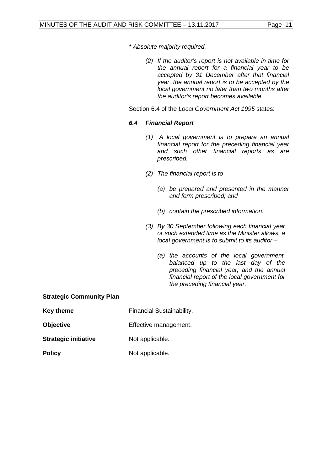*\* Absolute majority required.* 

*(2) If the auditor's report is not available in time for the annual report for a financial year to be accepted by 31 December after that financial year, the annual report is to be accepted by the local government no later than two months after the auditor's report becomes available.* 

Section 6.4 of the *Local Government Act 1995* states:

#### *6.4 Financial Report*

- *(1) A local government is to prepare an annual financial report for the preceding financial year and such other financial reports as are prescribed.*
- *(2) The financial report is to –*
	- *(a) be prepared and presented in the manner and form prescribed; and*
	- *(b) contain the prescribed information.*
- *(3) By 30 September following each financial year or such extended time as the Minister allows, a local government is to submit to its auditor –*
	- *(a) the accounts of the local government, balanced up to the last day of the preceding financial year; and the annual financial report of the local government for the preceding financial year.*

#### **Strategic Community Plan**

| <b>Key theme</b>            | <b>Financial Sustainability.</b> |
|-----------------------------|----------------------------------|
| Objective                   | Effective management.            |
| <b>Strategic initiative</b> | Not applicable.                  |
| <b>Policy</b>               | Not applicable.                  |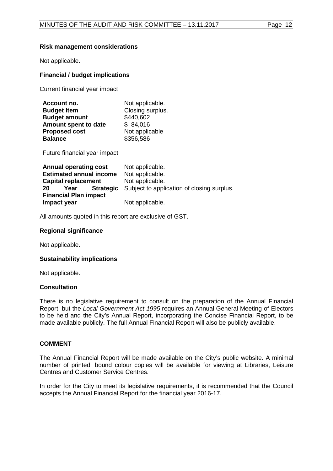#### **Risk management considerations**

Not applicable.

#### **Financial / budget implications**

Current financial year impact

| Account no.          | Not applicable.  |
|----------------------|------------------|
| <b>Budget Item</b>   | Closing surplus. |
| <b>Budget amount</b> | \$440,602        |
| Amount spent to date | \$84,016         |
| <b>Proposed cost</b> | Not applicable   |
| <b>Balance</b>       | \$356,586        |

Future financial year impact

| Annual operating cost                 | Not applicable.                            |
|---------------------------------------|--------------------------------------------|
| <b>Estimated annual income</b>        | Not applicable.                            |
| <b>Capital replacement</b>            | Not applicable.                            |
| <b>Strategic</b><br><b>20</b><br>Year | Subject to application of closing surplus. |
| <b>Financial Plan impact</b>          |                                            |
| Impact year                           | Not applicable.                            |

All amounts quoted in this report are exclusive of GST.

#### **Regional significance**

Not applicable.

#### **Sustainability implications**

Not applicable.

#### **Consultation**

There is no legislative requirement to consult on the preparation of the Annual Financial Report, but the *Local Government Act 1995* requires an Annual General Meeting of Electors to be held and the City's Annual Report, incorporating the Concise Financial Report, to be made available publicly. The full Annual Financial Report will also be publicly available.

#### **COMMENT**

The Annual Financial Report will be made available on the City's public website. A minimal number of printed, bound colour copies will be available for viewing at Libraries, Leisure Centres and Customer Service Centres.

In order for the City to meet its legislative requirements, it is recommended that the Council accepts the Annual Financial Report for the financial year 2016-17.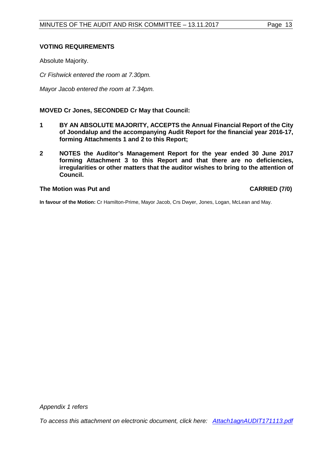### **VOTING REQUIREMENTS**

Absolute Majority.

*Cr Fishwick entered the room at 7.30pm.*

*Mayor Jacob entered the room at 7.34pm.*

**MOVED Cr Jones, SECONDED Cr May that Council:**

- **1 BY AN ABSOLUTE MAJORITY, ACCEPTS the Annual Financial Report of the City of Joondalup and the accompanying Audit Report for the financial year 2016-17, forming Attachments 1 and 2 to this Report;**
- **2 NOTES the Auditor's Management Report for the year ended 30 June 2017 forming Attachment 3 to this Report and that there are no deficiencies, irregularities or other matters that the auditor wishes to bring to the attention of Council.**

**The Motion was Put and CARRIED (7/0)**

**In favour of the Motion:** Cr Hamilton-Prime, Mayor Jacob, Crs Dwyer, Jones, Logan, McLean and May.

*Appendix 1 refers*

*To access this attachment on electronic document, click here: [Attach1agnAUDIT171113.pdf](http://www.joondalup.wa.gov.au/files/committees/AURI/2017/Attach1agnAUDIT171113.pdf)*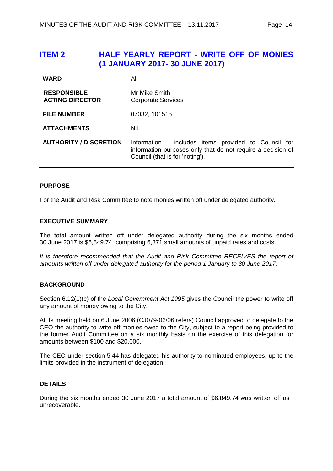## <span id="page-13-0"></span>**ITEM 2 HALF YEARLY REPORT - WRITE OFF OF MONIES (1 JANUARY 2017- 30 JUNE 2017)**

| <b>WARD</b>                                  | All                                                                                                                                                    |  |
|----------------------------------------------|--------------------------------------------------------------------------------------------------------------------------------------------------------|--|
| <b>RESPONSIBLE</b><br><b>ACTING DIRECTOR</b> | Mr Mike Smith<br><b>Corporate Services</b>                                                                                                             |  |
| <b>FILE NUMBER</b>                           | 07032, 101515                                                                                                                                          |  |
| <b>ATTACHMENTS</b>                           | Nil.                                                                                                                                                   |  |
| <b>AUTHORITY / DISCRETION</b>                | Information - includes items provided to Council for<br>information purposes only that do not require a decision of<br>Council (that is for 'noting'). |  |

#### **PURPOSE**

For the Audit and Risk Committee to note monies written off under delegated authority.

#### **EXECUTIVE SUMMARY**

The total amount written off under delegated authority during the six months ended 30 June 2017 is \$6,849.74, comprising 6,371 small amounts of unpaid rates and costs.

*It is therefore recommended that the Audit and Risk Committee RECEIVES the report of amounts written off under delegated authority for the period 1 January to 30 June 2017.*

#### **BACKGROUND**

Section 6.12(1)(c) of the *Local Government Act 1995* gives the Council the power to write off any amount of money owing to the City.

At its meeting held on 6 June 2006 (CJ079-06/06 refers) Council approved to delegate to the CEO the authority to write off monies owed to the City, subject to a report being provided to the former Audit Committee on a six monthly basis on the exercise of this delegation for amounts between \$100 and \$20,000.

The CEO under section 5.44 has delegated his authority to nominated employees, up to the limits provided in the instrument of delegation.

#### **DETAILS**

During the six months ended 30 June 2017 a total amount of \$6,849.74 was written off as unrecoverable.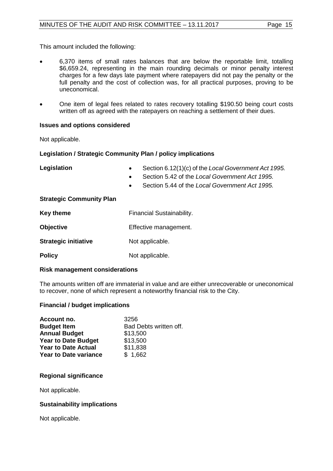This amount included the following:

- 6,370 items of small rates balances that are below the reportable limit, totalling \$6,659.24, representing in the main rounding decimals or minor penalty interest charges for a few days late payment where ratepayers did not pay the penalty or the full penalty and the cost of collection was, for all practical purposes, proving to be uneconomical.
- One item of legal fees related to rates recovery totalling \$190.50 being court costs written off as agreed with the ratepayers on reaching a settlement of their dues.

#### **Issues and options considered**

Not applicable.

#### **Legislation / Strategic Community Plan / policy implications**

**Legislation** • Section 6.12(1)(c) of the *Local Government Act 1995.* • Section 5.42 of the *Local Government Act 1995.* • Section 5.44 of the *Local Government Act 1995.* **Strategic Community Plan Key theme** Financial Sustainability. **Objective Effective management. Strategic initiative** Not applicable.

**Policy** Not applicable.

#### **Risk management considerations**

The amounts written off are immaterial in value and are either unrecoverable or uneconomical to recover, none of which represent a noteworthy financial risk to the City.

#### **Financial / budget implications**

| Account no.                  | 3256                   |
|------------------------------|------------------------|
| <b>Budget Item</b>           | Bad Debts written off. |
| <b>Annual Budget</b>         | \$13,500               |
| <b>Year to Date Budget</b>   | \$13,500               |
| <b>Year to Date Actual</b>   | \$11,838               |
| <b>Year to Date variance</b> | \$1,662                |

#### **Regional significance**

Not applicable.

#### **Sustainability implications**

Not applicable.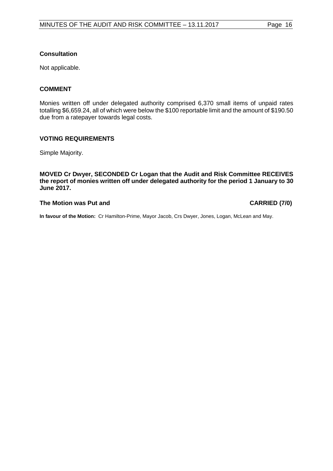## **Consultation**

Not applicable.

## **COMMENT**

Monies written off under delegated authority comprised 6,370 small items of unpaid rates totalling \$6,659.24, all of which were below the \$100 reportable limit and the amount of \$190.50 due from a ratepayer towards legal costs.

## **VOTING REQUIREMENTS**

Simple Majority.

**MOVED Cr Dwyer, SECONDED Cr Logan that the Audit and Risk Committee RECEIVES the report of monies written off under delegated authority for the period 1 January to 30 June 2017.**

#### **The Motion was Put and CARRIED (7/0)**

**In favour of the Motion:** Cr Hamilton-Prime, Mayor Jacob, Crs Dwyer, Jones, Logan, McLean and May.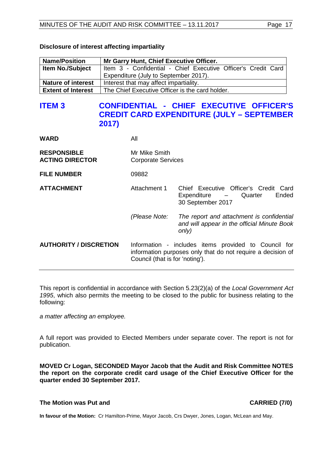| <b>Name/Position</b>      | Mr Garry Hunt, Chief Executive Officer.                       |  |  |
|---------------------------|---------------------------------------------------------------|--|--|
| <b>Item No./Subject</b>   | Item 3 - Confidential - Chief Executive Officer's Credit Card |  |  |
|                           | Expenditure (July to September 2017).                         |  |  |
| <b>Nature of interest</b> | Interest that may affect impartiality.                        |  |  |
| <b>Extent of Interest</b> | The Chief Executive Officer is the card holder.               |  |  |

## **Disclosure of interest affecting impartiality**

## <span id="page-16-0"></span>**ITEM 3 CONFIDENTIAL - CHIEF EXECUTIVE OFFICER'S CREDIT CARD EXPENDITURE (JULY – SEPTEMBER 2017)**

**WARD** All

| <b>RESPONSIBLE</b><br><b>ACTING DIRECTOR</b> | Mr Mike Smith<br><b>Corporate Services</b>                                                                                                             |                                                                                                   |  |
|----------------------------------------------|--------------------------------------------------------------------------------------------------------------------------------------------------------|---------------------------------------------------------------------------------------------------|--|
| <b>FILE NUMBER</b>                           | 09882                                                                                                                                                  |                                                                                                   |  |
| <b>ATTACHMENT</b>                            | Attachment 1                                                                                                                                           | Chief Executive Officer's Credit Card<br>Ended<br>Expenditure - Quarter<br>30 September 2017      |  |
|                                              | (Please Note:                                                                                                                                          | The report and attachment is confidential<br>and will appear in the official Minute Book<br>only) |  |
| <b>AUTHORITY / DISCRETION</b>                | Information - includes items provided to Council for<br>information purposes only that do not require a decision of<br>Council (that is for 'noting'). |                                                                                                   |  |

This report is confidential in accordance with Section 5.23(2)(a) of the *Local Government Act 1995*, which also permits the meeting to be closed to the public for business relating to the following:

*a matter affecting an employee.*

A full report was provided to Elected Members under separate cover. The report is not for publication.

**MOVED Cr Logan, SECONDED Mayor Jacob that the Audit and Risk Committee NOTES the report on the corporate credit card usage of the Chief Executive Officer for the quarter ended 30 September 2017.**

### **The Motion was Put and CARRIED (7/0)**

**In favour of the Motion:** Cr Hamilton-Prime, Mayor Jacob, Crs Dwyer, Jones, Logan, McLean and May.